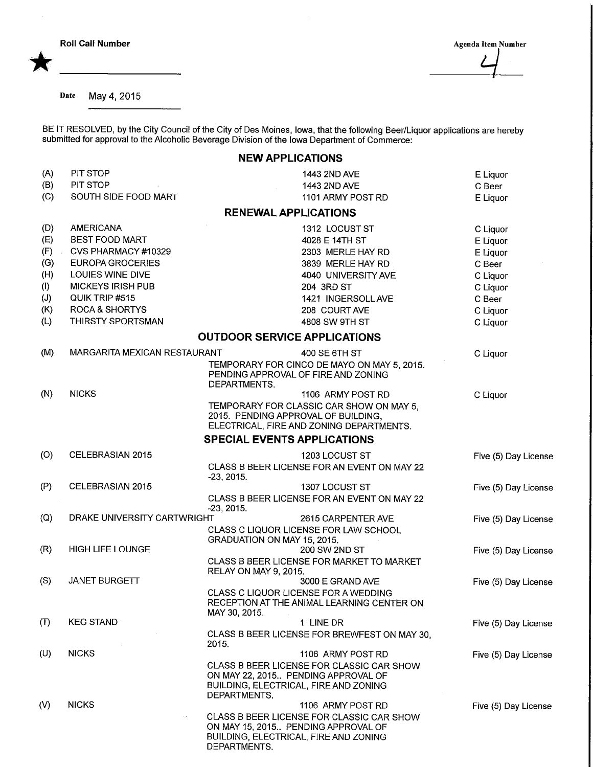**Roll Call Number** Agenda Item Number Agenda Item Number  $\overline{4}$ 

Date May 4,2015

BE IT RESOLVED, by the City Council of the City of Des Moines, Iowa, that the following Beer/Liquor applications are hereb submitted for approval to the Alcoholic Beverage Division of the Iowa Department of Commerce:

## NEW APPLICATIONS

| (A) | PIT STOP                     | 1443 2ND AVE                                                              | E Liquor             |  |  |  |
|-----|------------------------------|---------------------------------------------------------------------------|----------------------|--|--|--|
| (B) | PIT STOP                     | 1443 2ND AVE                                                              | C Beer               |  |  |  |
| (C) | SOUTH SIDE FOOD MART         | 1101 ARMY POST RD                                                         | E Liquor             |  |  |  |
|     |                              | <b>RENEWAL APPLICATIONS</b>                                               |                      |  |  |  |
| (D) | AMERICANA                    | 1312 LOCUST ST                                                            | C Liquor             |  |  |  |
| (E) | <b>BEST FOOD MART</b>        | 4028 E 14TH ST                                                            | E Liquor             |  |  |  |
| (F) | CVS PHARMACY #10329          | 2303 MERLE HAY RD                                                         | E Liquor             |  |  |  |
| (G) | EUROPA GROCERIES             | 3839 MERLE HAY RD                                                         | C Beer               |  |  |  |
| (H) | LOUIES WINE DIVE             | 4040 UNIVERSITY AVE                                                       | C Liquor             |  |  |  |
| (1) | <b>MICKEYS IRISH PUB</b>     | 204 3RD ST                                                                | C Liquor             |  |  |  |
| (J) | QUIK TRIP #515               | 1421 INGERSOLL AVE                                                        | C Beer               |  |  |  |
| (K) | <b>ROCA &amp; SHORTYS</b>    | 208 COURT AVE                                                             | C Liquor             |  |  |  |
| (L) | THIRSTY SPORTSMAN            | 4808 SW 9TH ST                                                            | C Liquor             |  |  |  |
|     |                              | <b>OUTDOOR SERVICE APPLICATIONS</b>                                       |                      |  |  |  |
| (M) | MARGARITA MEXICAN RESTAURANT | 400 SE 6TH ST                                                             | C Liquor             |  |  |  |
|     |                              | TEMPORARY FOR CINCO DE MAYO ON MAY 5, 2015.                               |                      |  |  |  |
|     |                              | PENDING APPROVAL OF FIRE AND ZONING<br>DEPARTMENTS.                       |                      |  |  |  |
| (N) | <b>NICKS</b>                 | 1106 ARMY POST RD                                                         | C Liquor             |  |  |  |
|     |                              | TEMPORARY FOR CLASSIC CAR SHOW ON MAY 5,                                  |                      |  |  |  |
|     |                              | 2015. PENDING APPROVAL OF BUILDING,                                       |                      |  |  |  |
|     |                              | ELECTRICAL, FIRE AND ZONING DEPARTMENTS.                                  |                      |  |  |  |
|     |                              | <b>SPECIAL EVENTS APPLICATIONS</b>                                        |                      |  |  |  |
| (O) | CELEBRASIAN 2015             | 1203 LOCUST ST                                                            | Five (5) Day License |  |  |  |
|     |                              | CLASS B BEER LICENSE FOR AN EVENT ON MAY 22                               |                      |  |  |  |
| (P) | CELEBRASIAN 2015             | $-23, 2015.$                                                              |                      |  |  |  |
|     |                              | 1307 LOCUST ST<br>CLASS B BEER LICENSE FOR AN EVENT ON MAY 22             | Five (5) Day License |  |  |  |
|     |                              | $-23, 2015.$                                                              |                      |  |  |  |
| (Q) |                              | DRAKE UNIVERSITY CARTWRIGHT<br>2615 CARPENTER AVE<br>Five (5) Day License |                      |  |  |  |
|     |                              | CLASS C LIQUOR LICENSE FOR LAW SCHOOL                                     |                      |  |  |  |
|     |                              | GRADUATION ON MAY 15, 2015.                                               |                      |  |  |  |
| (R) | <b>HIGH LIFE LOUNGE</b>      | 200 SW 2ND ST                                                             | Five (5) Day License |  |  |  |
|     |                              | CLASS B BEER LICENSE FOR MARKET TO MARKET<br><b>RELAY ON MAY 9, 2015.</b> |                      |  |  |  |
| (S) | <b>JANET BURGETT</b>         | 3000 E GRAND AVE                                                          | Five (5) Day License |  |  |  |
|     |                              | CLASS C LIQUOR LICENSE FOR A WEDDING                                      |                      |  |  |  |
|     |                              | RECEPTION AT THE ANIMAL LEARNING CENTER ON                                |                      |  |  |  |
|     |                              | MAY 30, 2015.                                                             |                      |  |  |  |
| (T) | <b>KEG STAND</b>             | 1 LINE DR                                                                 | Five (5) Day License |  |  |  |
|     |                              | CLASS B BEER LICENSE FOR BREWFEST ON MAY 30,<br>2015.                     |                      |  |  |  |
| (U) | <b>NICKS</b>                 | 1106 ARMY POST RD                                                         | Five (5) Day License |  |  |  |
|     |                              | CLASS B BEER LICENSE FOR CLASSIC CAR SHOW                                 |                      |  |  |  |
|     |                              | ON MAY 22, 2015 PENDING APPROVAL OF                                       |                      |  |  |  |
|     |                              | BUILDING, ELECTRICAL, FIRE AND ZONING                                     |                      |  |  |  |
| (V) | <b>NICKS</b>                 | DEPARTMENTS.<br>1106 ARMY POST RD                                         |                      |  |  |  |
|     |                              | CLASS B BEER LICENSE FOR CLASSIC CAR SHOW                                 | Five (5) Day License |  |  |  |
|     |                              | ON MAY 15, 2015. PENDING APPROVAL OF                                      |                      |  |  |  |
|     |                              | BUILDING, ELECTRICAL, FIRE AND ZONING                                     |                      |  |  |  |
|     |                              | DEPARTMENTS.                                                              |                      |  |  |  |